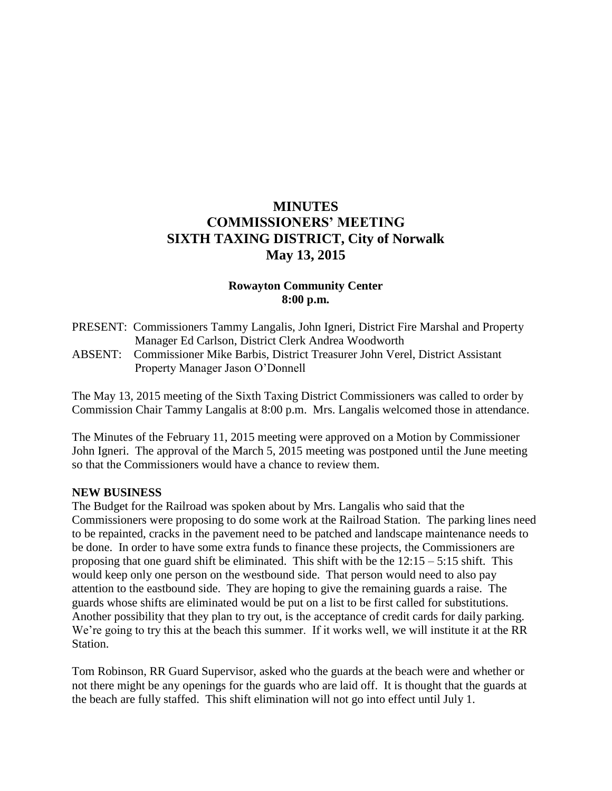# **MINUTES COMMISSIONERS' MEETING SIXTH TAXING DISTRICT, City of Norwalk May 13, 2015**

# **Rowayton Community Center 8:00 p.m.**

PRESENT: Commissioners Tammy Langalis, John Igneri, District Fire Marshal and Property Manager Ed Carlson, District Clerk Andrea Woodworth ABSENT: Commissioner Mike Barbis, District Treasurer John Verel, District Assistant Property Manager Jason O'Donnell

The May 13, 2015 meeting of the Sixth Taxing District Commissioners was called to order by Commission Chair Tammy Langalis at 8:00 p.m. Mrs. Langalis welcomed those in attendance.

The Minutes of the February 11, 2015 meeting were approved on a Motion by Commissioner John Igneri. The approval of the March 5, 2015 meeting was postponed until the June meeting so that the Commissioners would have a chance to review them.

#### **NEW BUSINESS**

The Budget for the Railroad was spoken about by Mrs. Langalis who said that the Commissioners were proposing to do some work at the Railroad Station. The parking lines need to be repainted, cracks in the pavement need to be patched and landscape maintenance needs to be done. In order to have some extra funds to finance these projects, the Commissioners are proposing that one guard shift be eliminated. This shift with be the  $12:15 - 5:15$  shift. This would keep only one person on the westbound side. That person would need to also pay attention to the eastbound side. They are hoping to give the remaining guards a raise. The guards whose shifts are eliminated would be put on a list to be first called for substitutions. Another possibility that they plan to try out, is the acceptance of credit cards for daily parking. We're going to try this at the beach this summer. If it works well, we will institute it at the RR Station.

Tom Robinson, RR Guard Supervisor, asked who the guards at the beach were and whether or not there might be any openings for the guards who are laid off. It is thought that the guards at the beach are fully staffed. This shift elimination will not go into effect until July 1.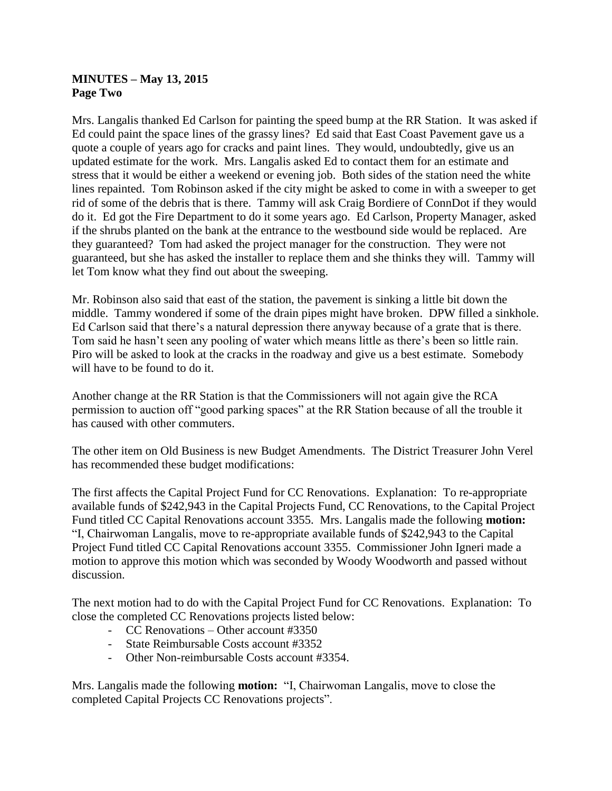### **MINUTES – May 13, 2015 Page Two**

Mrs. Langalis thanked Ed Carlson for painting the speed bump at the RR Station. It was asked if Ed could paint the space lines of the grassy lines? Ed said that East Coast Pavement gave us a quote a couple of years ago for cracks and paint lines. They would, undoubtedly, give us an updated estimate for the work. Mrs. Langalis asked Ed to contact them for an estimate and stress that it would be either a weekend or evening job. Both sides of the station need the white lines repainted. Tom Robinson asked if the city might be asked to come in with a sweeper to get rid of some of the debris that is there. Tammy will ask Craig Bordiere of ConnDot if they would do it. Ed got the Fire Department to do it some years ago. Ed Carlson, Property Manager, asked if the shrubs planted on the bank at the entrance to the westbound side would be replaced. Are they guaranteed? Tom had asked the project manager for the construction. They were not guaranteed, but she has asked the installer to replace them and she thinks they will. Tammy will let Tom know what they find out about the sweeping.

Mr. Robinson also said that east of the station, the pavement is sinking a little bit down the middle. Tammy wondered if some of the drain pipes might have broken. DPW filled a sinkhole. Ed Carlson said that there's a natural depression there anyway because of a grate that is there. Tom said he hasn't seen any pooling of water which means little as there's been so little rain. Piro will be asked to look at the cracks in the roadway and give us a best estimate. Somebody will have to be found to do it.

Another change at the RR Station is that the Commissioners will not again give the RCA permission to auction off "good parking spaces" at the RR Station because of all the trouble it has caused with other commuters.

The other item on Old Business is new Budget Amendments. The District Treasurer John Verel has recommended these budget modifications:

The first affects the Capital Project Fund for CC Renovations. Explanation: To re-appropriate available funds of \$242,943 in the Capital Projects Fund, CC Renovations, to the Capital Project Fund titled CC Capital Renovations account 3355. Mrs. Langalis made the following **motion:** "I, Chairwoman Langalis, move to re-appropriate available funds of \$242,943 to the Capital Project Fund titled CC Capital Renovations account 3355. Commissioner John Igneri made a motion to approve this motion which was seconded by Woody Woodworth and passed without discussion.

The next motion had to do with the Capital Project Fund for CC Renovations. Explanation: To close the completed CC Renovations projects listed below:

- CC Renovations Other account #3350
- State Reimbursable Costs account #3352
- Other Non-reimbursable Costs account #3354.

Mrs. Langalis made the following **motion:** "I, Chairwoman Langalis, move to close the completed Capital Projects CC Renovations projects".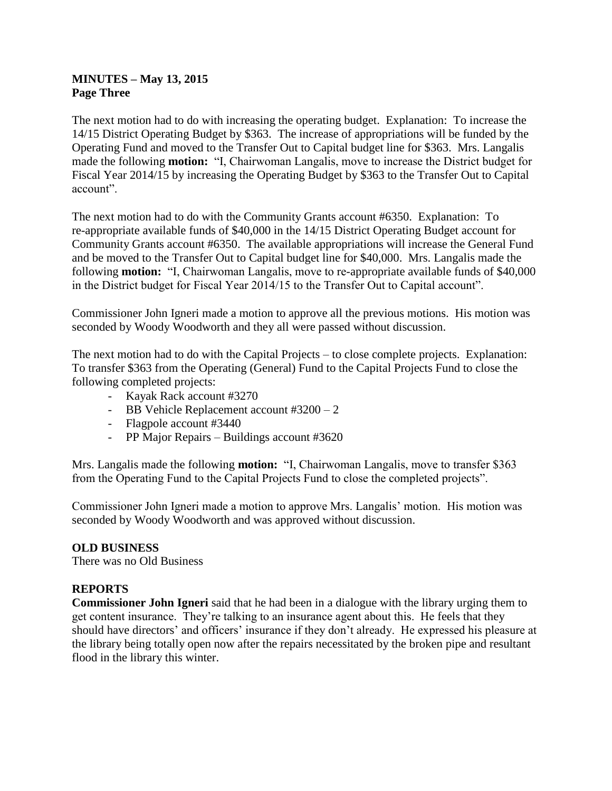# **MINUTES – May 13, 2015 Page Three**

The next motion had to do with increasing the operating budget. Explanation: To increase the 14/15 District Operating Budget by \$363. The increase of appropriations will be funded by the Operating Fund and moved to the Transfer Out to Capital budget line for \$363. Mrs. Langalis made the following **motion:** "I, Chairwoman Langalis, move to increase the District budget for Fiscal Year 2014/15 by increasing the Operating Budget by \$363 to the Transfer Out to Capital account".

The next motion had to do with the Community Grants account #6350. Explanation: To re-appropriate available funds of \$40,000 in the 14/15 District Operating Budget account for Community Grants account #6350. The available appropriations will increase the General Fund and be moved to the Transfer Out to Capital budget line for \$40,000. Mrs. Langalis made the following **motion:** "I, Chairwoman Langalis, move to re-appropriate available funds of \$40,000 in the District budget for Fiscal Year 2014/15 to the Transfer Out to Capital account".

Commissioner John Igneri made a motion to approve all the previous motions. His motion was seconded by Woody Woodworth and they all were passed without discussion.

The next motion had to do with the Capital Projects – to close complete projects. Explanation: To transfer \$363 from the Operating (General) Fund to the Capital Projects Fund to close the following completed projects:

- Kayak Rack account #3270
- BB Vehicle Replacement account #3200 2
- Flagpole account #3440
- PP Major Repairs Buildings account #3620

Mrs. Langalis made the following **motion:** "I, Chairwoman Langalis, move to transfer \$363 from the Operating Fund to the Capital Projects Fund to close the completed projects".

Commissioner John Igneri made a motion to approve Mrs. Langalis' motion. His motion was seconded by Woody Woodworth and was approved without discussion.

### **OLD BUSINESS**

There was no Old Business

### **REPORTS**

**Commissioner John Igneri** said that he had been in a dialogue with the library urging them to get content insurance. They're talking to an insurance agent about this. He feels that they should have directors' and officers' insurance if they don't already. He expressed his pleasure at the library being totally open now after the repairs necessitated by the broken pipe and resultant flood in the library this winter.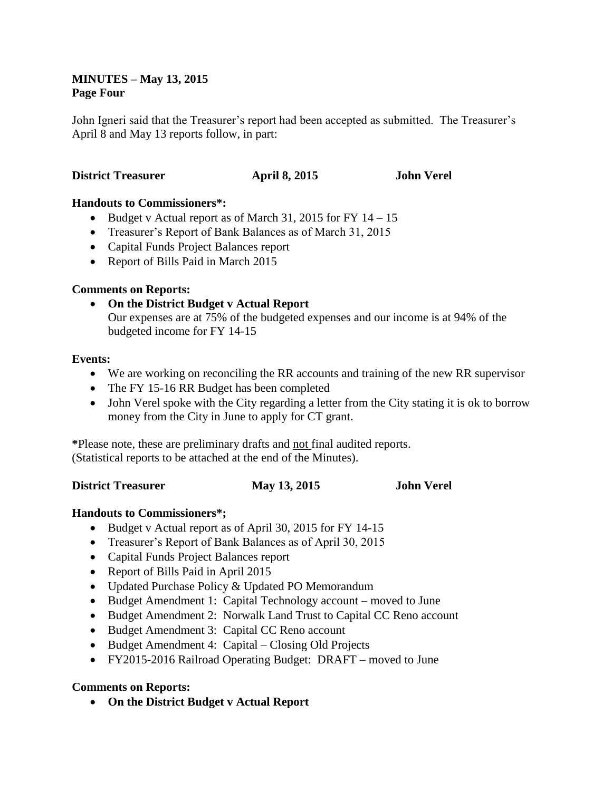### **MINUTES – May 13, 2015 Page Four**

John Igneri said that the Treasurer's report had been accepted as submitted. The Treasurer's April 8 and May 13 reports follow, in part:

### **District Treasurer April 8, 2015 John Verel**

### **Handouts to Commissioners\*:**

- Eudget v Actual report as of March 31, 2015 for FY  $14 15$
- Treasurer's Report of Bank Balances as of March 31, 2015
- Capital Funds Project Balances report
- Report of Bills Paid in March 2015

# **Comments on Reports:**

 **On the District Budget v Actual Report** Our expenses are at 75% of the budgeted expenses and our income is at 94% of the budgeted income for FY 14-15

#### **Events:**

- We are working on reconciling the RR accounts and training of the new RR supervisor
- The FY 15-16 RR Budget has been completed
- John Verel spoke with the City regarding a letter from the City stating it is ok to borrow money from the City in June to apply for CT grant.

**\***Please note, these are preliminary drafts and not final audited reports. (Statistical reports to be attached at the end of the Minutes).

### **District Treasurer May 13, 2015 John Verel**

### **Handouts to Commissioners\*;**

- Budget v Actual report as of April 30, 2015 for FY 14-15
- Treasurer's Report of Bank Balances as of April 30, 2015
- Capital Funds Project Balances report
- Report of Bills Paid in April 2015
- Updated Purchase Policy & Updated PO Memorandum
- Budget Amendment 1: Capital Technology account moved to June
- Budget Amendment 2: Norwalk Land Trust to Capital CC Reno account
- Budget Amendment 3: Capital CC Reno account
- Budget Amendment 4: Capital Closing Old Projects
- FY2015-2016 Railroad Operating Budget: DRAFT moved to June

### **Comments on Reports:**

**On the District Budget v Actual Report**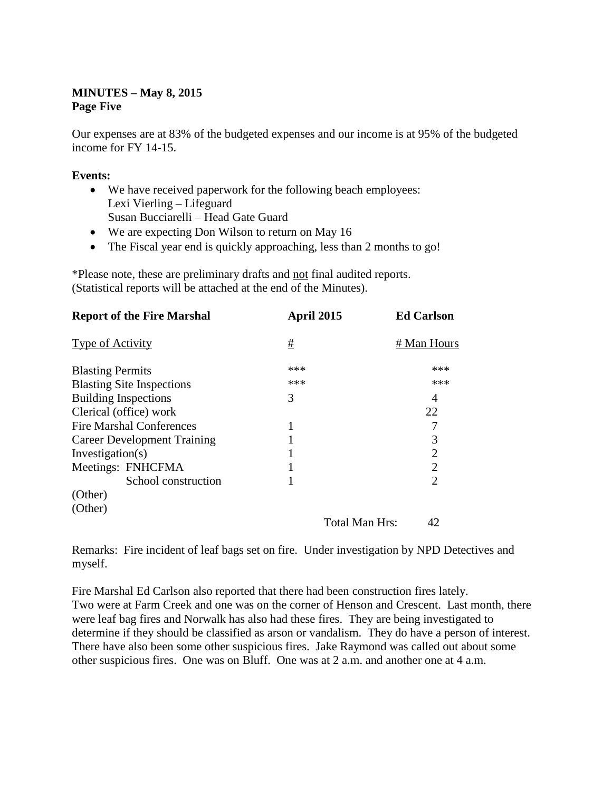# **MINUTES – May 8, 2015 Page Five**

Our expenses are at 83% of the budgeted expenses and our income is at 95% of the budgeted income for FY 14-15.

# **Events:**

- We have received paperwork for the following beach employees: Lexi Vierling – Lifeguard Susan Bucciarelli – Head Gate Guard
- We are expecting Don Wilson to return on May 16
- The Fiscal year end is quickly approaching, less than 2 months to go!

\*Please note, these are preliminary drafts and not final audited reports. (Statistical reports will be attached at the end of the Minutes).

| <b>Report of the Fire Marshal</b>  | April 2015     | <b>Ed Carlson</b> |
|------------------------------------|----------------|-------------------|
| <b>Type of Activity</b>            | #              | # Man Hours       |
| <b>Blasting Permits</b>            | ***            | ***               |
| <b>Blasting Site Inspections</b>   | ***            | ***               |
| <b>Building Inspections</b>        | 3              | 4                 |
| Clerical (office) work             |                | 22                |
| <b>Fire Marshal Conferences</b>    |                |                   |
| <b>Career Development Training</b> |                | 3                 |
| Investigation(s)                   |                | 2                 |
| Meetings: FNHCFMA                  |                | 2                 |
| School construction                |                | $\overline{2}$    |
| (Other)                            |                |                   |
| (Other)                            |                |                   |
|                                    | Total Man Hrs: | 42                |

Remarks: Fire incident of leaf bags set on fire. Under investigation by NPD Detectives and myself.

Fire Marshal Ed Carlson also reported that there had been construction fires lately. Two were at Farm Creek and one was on the corner of Henson and Crescent. Last month, there were leaf bag fires and Norwalk has also had these fires. They are being investigated to determine if they should be classified as arson or vandalism. They do have a person of interest. There have also been some other suspicious fires. Jake Raymond was called out about some other suspicious fires. One was on Bluff. One was at 2 a.m. and another one at 4 a.m.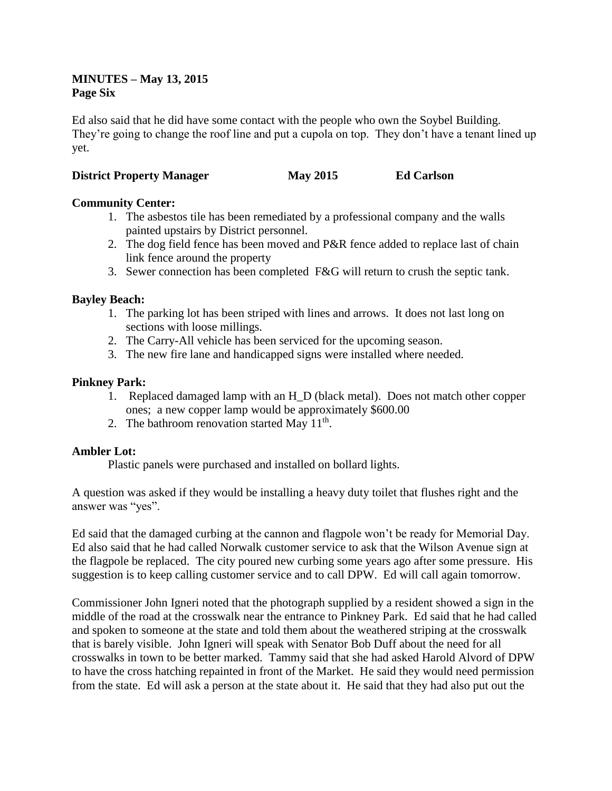# **MINUTES – May 13, 2015 Page Six**

Ed also said that he did have some contact with the people who own the Soybel Building. They're going to change the roof line and put a cupola on top. They don't have a tenant lined up yet.

# **District Property Manager May 2015 Ed Carlson**

# **Community Center:**

- 1. The asbestos tile has been remediated by a professional company and the walls painted upstairs by District personnel.
- 2. The dog field fence has been moved and P&R fence added to replace last of chain link fence around the property
- 3. Sewer connection has been completed F&G will return to crush the septic tank.

### **Bayley Beach:**

- 1. The parking lot has been striped with lines and arrows. It does not last long on sections with loose millings.
- 2. The Carry-All vehicle has been serviced for the upcoming season.
- 3. The new fire lane and handicapped signs were installed where needed.

### **Pinkney Park:**

- 1. Replaced damaged lamp with an H\_D (black metal). Does not match other copper ones; a new copper lamp would be approximately \$600.00
- 2. The bathroom renovation started May 11<sup>th</sup>.

### **Ambler Lot:**

Plastic panels were purchased and installed on bollard lights.

A question was asked if they would be installing a heavy duty toilet that flushes right and the answer was "yes".

Ed said that the damaged curbing at the cannon and flagpole won't be ready for Memorial Day. Ed also said that he had called Norwalk customer service to ask that the Wilson Avenue sign at the flagpole be replaced. The city poured new curbing some years ago after some pressure. His suggestion is to keep calling customer service and to call DPW. Ed will call again tomorrow.

Commissioner John Igneri noted that the photograph supplied by a resident showed a sign in the middle of the road at the crosswalk near the entrance to Pinkney Park. Ed said that he had called and spoken to someone at the state and told them about the weathered striping at the crosswalk that is barely visible. John Igneri will speak with Senator Bob Duff about the need for all crosswalks in town to be better marked. Tammy said that she had asked Harold Alvord of DPW to have the cross hatching repainted in front of the Market. He said they would need permission from the state. Ed will ask a person at the state about it. He said that they had also put out the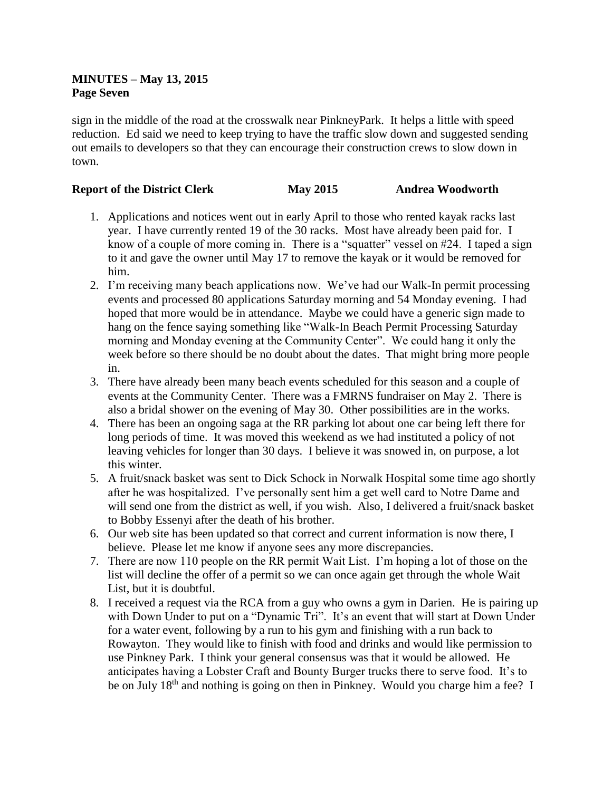# **MINUTES – May 13, 2015 Page Seven**

sign in the middle of the road at the crosswalk near PinkneyPark. It helps a little with speed reduction. Ed said we need to keep trying to have the traffic slow down and suggested sending out emails to developers so that they can encourage their construction crews to slow down in town.

# **Report of the District Clerk May 2015 Andrea Woodworth**

- 1. Applications and notices went out in early April to those who rented kayak racks last year. I have currently rented 19 of the 30 racks. Most have already been paid for. I know of a couple of more coming in. There is a "squatter" vessel on #24. I taped a sign to it and gave the owner until May 17 to remove the kayak or it would be removed for him.
- 2. I'm receiving many beach applications now. We've had our Walk-In permit processing events and processed 80 applications Saturday morning and 54 Monday evening. I had hoped that more would be in attendance. Maybe we could have a generic sign made to hang on the fence saying something like "Walk-In Beach Permit Processing Saturday morning and Monday evening at the Community Center". We could hang it only the week before so there should be no doubt about the dates. That might bring more people in.
- 3. There have already been many beach events scheduled for this season and a couple of events at the Community Center. There was a FMRNS fundraiser on May 2. There is also a bridal shower on the evening of May 30. Other possibilities are in the works.
- 4. There has been an ongoing saga at the RR parking lot about one car being left there for long periods of time. It was moved this weekend as we had instituted a policy of not leaving vehicles for longer than 30 days. I believe it was snowed in, on purpose, a lot this winter.
- 5. A fruit/snack basket was sent to Dick Schock in Norwalk Hospital some time ago shortly after he was hospitalized. I've personally sent him a get well card to Notre Dame and will send one from the district as well, if you wish. Also, I delivered a fruit/snack basket to Bobby Essenyi after the death of his brother.
- 6. Our web site has been updated so that correct and current information is now there, I believe. Please let me know if anyone sees any more discrepancies.
- 7. There are now 110 people on the RR permit Wait List. I'm hoping a lot of those on the list will decline the offer of a permit so we can once again get through the whole Wait List, but it is doubtful.
- 8. I received a request via the RCA from a guy who owns a gym in Darien. He is pairing up with Down Under to put on a "Dynamic Tri". It's an event that will start at Down Under for a water event, following by a run to his gym and finishing with a run back to Rowayton. They would like to finish with food and drinks and would like permission to use Pinkney Park. I think your general consensus was that it would be allowed. He anticipates having a Lobster Craft and Bounty Burger trucks there to serve food. It's to be on July 18<sup>th</sup> and nothing is going on then in Pinkney. Would you charge him a fee? I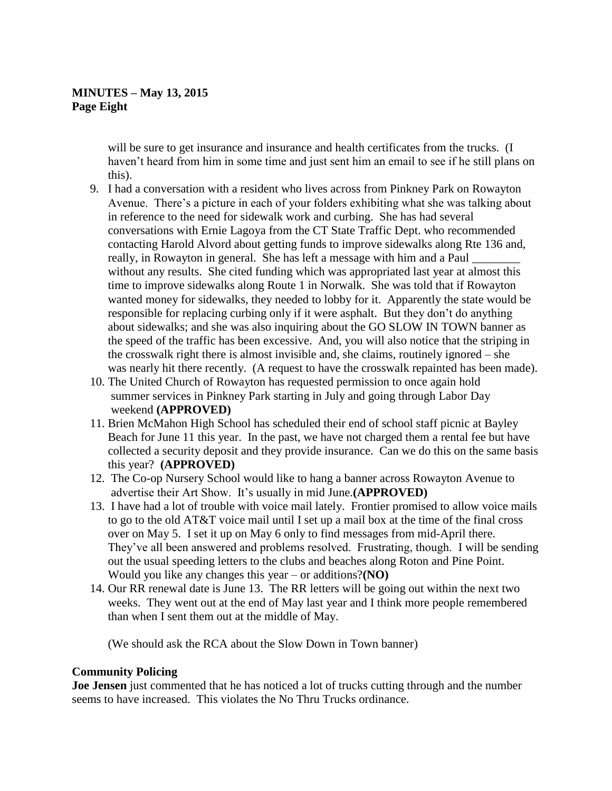# **MINUTES – May 13, 2015 Page Eight**

will be sure to get insurance and insurance and health certificates from the trucks. (I haven't heard from him in some time and just sent him an email to see if he still plans on this).

- 9. I had a conversation with a resident who lives across from Pinkney Park on Rowayton Avenue. There's a picture in each of your folders exhibiting what she was talking about in reference to the need for sidewalk work and curbing. She has had several conversations with Ernie Lagoya from the CT State Traffic Dept. who recommended contacting Harold Alvord about getting funds to improve sidewalks along Rte 136 and, really, in Rowayton in general. She has left a message with him and a Paul without any results. She cited funding which was appropriated last year at almost this time to improve sidewalks along Route 1 in Norwalk. She was told that if Rowayton wanted money for sidewalks, they needed to lobby for it. Apparently the state would be responsible for replacing curbing only if it were asphalt. But they don't do anything about sidewalks; and she was also inquiring about the GO SLOW IN TOWN banner as the speed of the traffic has been excessive. And, you will also notice that the striping in the crosswalk right there is almost invisible and, she claims, routinely ignored – she was nearly hit there recently. (A request to have the crosswalk repainted has been made).
- 10. The United Church of Rowayton has requested permission to once again hold summer services in Pinkney Park starting in July and going through Labor Day weekend **(APPROVED)**
- 11. Brien McMahon High School has scheduled their end of school staff picnic at Bayley Beach for June 11 this year. In the past, we have not charged them a rental fee but have collected a security deposit and they provide insurance. Can we do this on the same basis this year? **(APPROVED)**
- 12. The Co-op Nursery School would like to hang a banner across Rowayton Avenue to advertise their Art Show. It's usually in mid June.**(APPROVED)**
- 13. I have had a lot of trouble with voice mail lately. Frontier promised to allow voice mails to go to the old AT&T voice mail until I set up a mail box at the time of the final cross over on May 5. I set it up on May 6 only to find messages from mid-April there. They've all been answered and problems resolved. Frustrating, though. I will be sending out the usual speeding letters to the clubs and beaches along Roton and Pine Point. Would you like any changes this year – or additions?**(NO)**
- 14. Our RR renewal date is June 13. The RR letters will be going out within the next two weeks. They went out at the end of May last year and I think more people remembered than when I sent them out at the middle of May.

(We should ask the RCA about the Slow Down in Town banner)

### **Community Policing**

**Joe Jensen** just commented that he has noticed a lot of trucks cutting through and the number seems to have increased. This violates the No Thru Trucks ordinance.